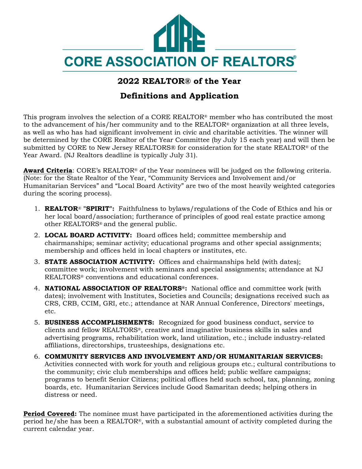

# **2022 REALTOR® of the Year**

# **Definitions and Application**

This program involves the selection of a CORE REALTOR® member who has contributed the most to the advancement of his/her community and to the REALTOR® organization at all three levels, as well as who has had significant involvement in civic and charitable activities. The winner will be determined by the CORE Realtor of the Year Committee (by July 15 each year) and will then be submitted by CORE to New Jersey REALTORS® for consideration for the state REALTOR® of the Year Award. (NJ Realtors deadline is typically July 31).

**Award Criteria**: CORE's REALTOR® of the Year nominees will be judged on the following criteria. (Note: for the State Realtor of the Year, "Community Services and Involvement and/or Humanitarian Services" and "Local Board Activity" are two of the most heavily weighted categories during the scoring process).

- 1. **REALTOR**® **"SPIRIT":** Faithfulness to bylaws/regulations of the Code of Ethics and his or her local board/association; furtherance of principles of good real estate practice among other REALTORS® and the general public.
- 2. **LOCAL BOARD ACTIVITY:** Board offices held; committee membership and chairmanships; seminar activity; educational programs and other special assignments; membership and offices held in local chapters or institutes, etc.
- 3. **STATE ASSOCIATION ACTIVITY:** Offices and chairmanships held (with dates); committee work; involvement with seminars and special assignments; attendance at NJ REALTORS® conventions and educational conferences.
- 4. **NATIONAL ASSOCIATION OF REALTORS®:** National office and committee work (with dates); involvement with Institutes, Societies and Councils; designations received such as CRS, CRB, CCIM, GRI, etc.; attendance at NAR Annual Conference, Directors' meetings, etc.
- 5. **BUSINESS ACCOMPLISHMENTS:** Recognized for good business conduct, service to clients and fellow REALTORS®, creative and imaginative business skills in sales and advertising programs, rehabilitation work, land utilization, etc.; include industry-related affiliations, directorships, trusteeships, designations etc.
- 6. **COMMUNITY SERVICES AND INVOLVEMENT AND/OR HUMANITARIAN SERVICES:** Activities connected with work for youth and religious groups etc.; cultural contributions to the community; civic club memberships and offices held; public welfare campaigns; programs to benefit Senior Citizens; political offices held such school, tax, planning, zoning boards, etc. Humanitarian Services include Good Samaritan deeds; helping others in distress or need.

**Period Covered:** The nominee must have participated in the aforementioned activities during the period he/she has been a REALTOR®, with a substantial amount of activity completed during the current calendar year.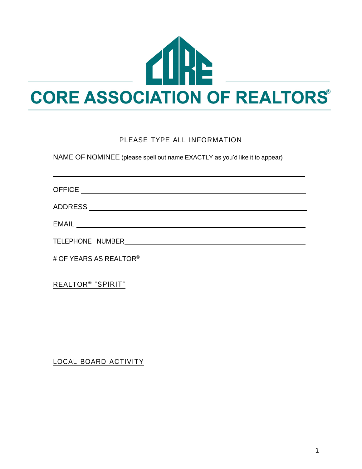

## PLEASE TYPE ALL INFORMATION

NAME OF NOMINEE (please spell out name EXACTLY as you'd like it to appear)

| <b>OFFICE</b>                      |
|------------------------------------|
|                                    |
| EMAIL <b>EXAMPLE</b>               |
| TELEPHONE NUMBER                   |
| # OF YEARS AS REALTOR <sup>®</sup> |

REALTOR<sup>®</sup> "SPIRIT"

LOCAL BOARD ACTIVITY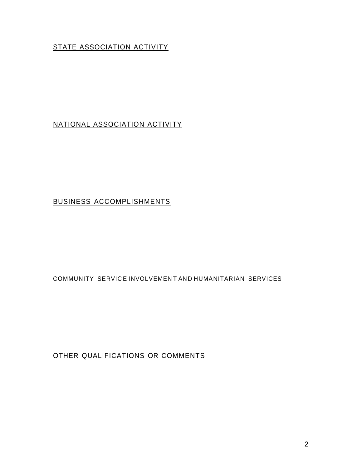# STATE ASSOCIATION ACTIVITY

# NATIONAL ASSOCIATION ACTIVITY

## BUSINESS ACCOMPLISHMENTS

#### COMMUNITY SERVICE INVOLVEMENT AND HUMANITARIAN SERVICES

## OTHER QUALIFICATIONS OR COMMENTS